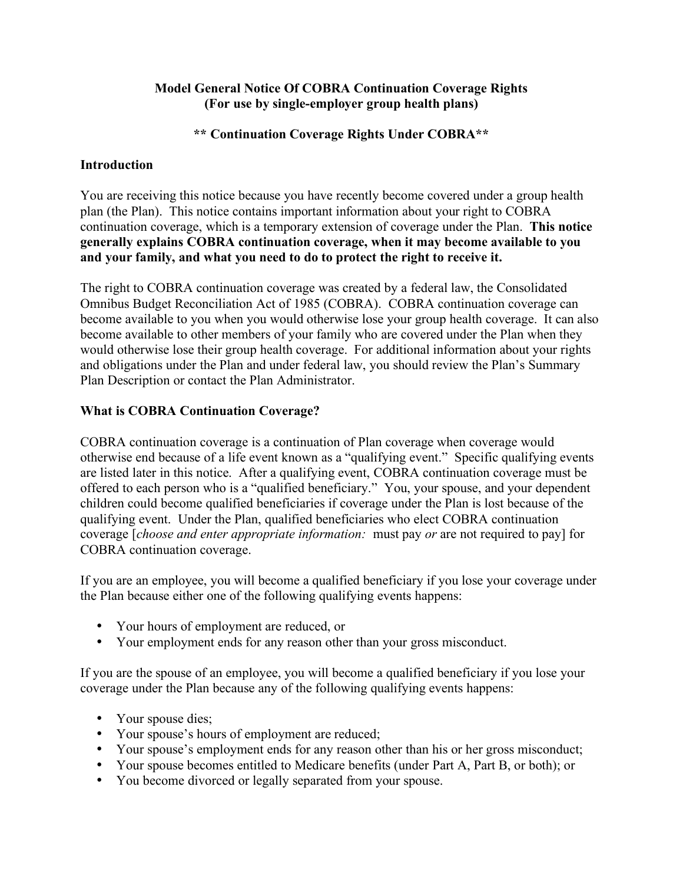### **Model General Notice Of COBRA Continuation Coverage Rights (For use by single-employer group health plans)**

#### **\*\* Continuation Coverage Rights Under COBRA\*\***

### **Introduction**

You are receiving this notice because you have recently become covered under a group health plan (the Plan). This notice contains important information about your right to COBRA continuation coverage, which is a temporary extension of coverage under the Plan. **This notice generally explains COBRA continuation coverage, when it may become available to you and your family, and what you need to do to protect the right to receive it.**

The right to COBRA continuation coverage was created by a federal law, the Consolidated Omnibus Budget Reconciliation Act of 1985 (COBRA). COBRA continuation coverage can become available to you when you would otherwise lose your group health coverage. It can also become available to other members of your family who are covered under the Plan when they would otherwise lose their group health coverage. For additional information about your rights and obligations under the Plan and under federal law, you should review the Plan's Summary Plan Description or contact the Plan Administrator.

#### **What is COBRA Continuation Coverage?**

COBRA continuation coverage is a continuation of Plan coverage when coverage would otherwise end because of a life event known as a "qualifying event." Specific qualifying events are listed later in this notice. After a qualifying event, COBRA continuation coverage must be offered to each person who is a "qualified beneficiary." You, your spouse, and your dependent children could become qualified beneficiaries if coverage under the Plan is lost because of the qualifying event. Under the Plan, qualified beneficiaries who elect COBRA continuation coverage [*choose and enter appropriate information:* must pay *or* are not required to pay] for COBRA continuation coverage.

If you are an employee, you will become a qualified beneficiary if you lose your coverage under the Plan because either one of the following qualifying events happens:

- Your hours of employment are reduced, or
- Your employment ends for any reason other than your gross misconduct.

If you are the spouse of an employee, you will become a qualified beneficiary if you lose your coverage under the Plan because any of the following qualifying events happens:

- Your spouse dies;
- Your spouse's hours of employment are reduced;
- Your spouse's employment ends for any reason other than his or her gross misconduct;
- Your spouse becomes entitled to Medicare benefits (under Part A, Part B, or both); or
- You become divorced or legally separated from your spouse.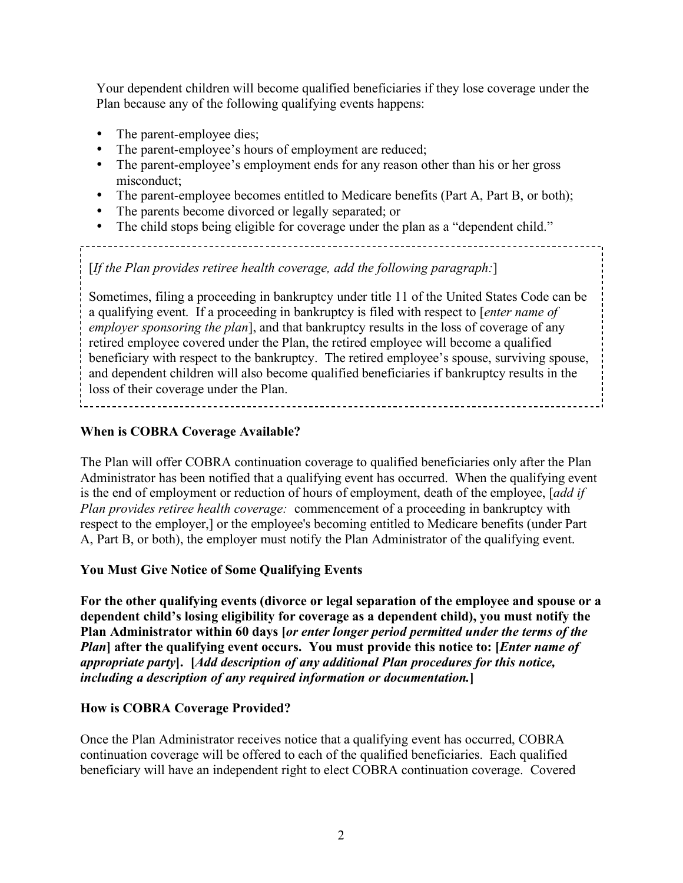Your dependent children will become qualified beneficiaries if they lose coverage under the Plan because any of the following qualifying events happens:

- The parent-employee dies;<br>• The parent-employee's hour
- The parent-employee's hours of employment are reduced;<br>• The parent-employee's employment ends for any reason of
- The parent-employee's employment ends for any reason other than his or her gross misconduct;
- The parent-employee becomes entitled to Medicare benefits (Part A, Part B, or both);

- The parents become divorced or legally separated; or
- The child stops being eligible for coverage under the plan as a "dependent child."

[*If the Plan provides retiree health coverage, add the following paragraph:*]

Sometimes, filing a proceeding in bankruptcy under title 11 of the United States Code can be a qualifying event. If a proceeding in bankruptcy is filed with respect to [*enter name of employer sponsoring the plan*], and that bankruptcy results in the loss of coverage of any retired employee covered under the Plan, the retired employee will become a qualified beneficiary with respect to the bankruptcy. The retired employee's spouse, surviving spouse, and dependent children will also become qualified beneficiaries if bankruptcy results in the loss of their coverage under the Plan.

## **When is COBRA Coverage Available?**

The Plan will offer COBRA continuation coverage to qualified beneficiaries only after the Plan Administrator has been notified that a qualifying event has occurred. When the qualifying event is the end of employment or reduction of hours of employment, death of the employee, [*add if Plan provides retiree health coverage:* commencement of a proceeding in bankruptcy with respect to the employer,] or the employee's becoming entitled to Medicare benefits (under Part A, Part B, or both), the employer must notify the Plan Administrator of the qualifying event.

# **You Must Give Notice of Some Qualifying Events**

**For the other qualifying events (divorce or legal separation of the employee and spouse or a dependent child's losing eligibility for coverage as a dependent child), you must notify the Plan Administrator within 60 days [***or enter longer period permitted under the terms of the Plan***] after the qualifying event occurs. You must provide this notice to: [***Enter name of appropriate party***]. [***Add description of any additional Plan procedures for this notice, including a description of any required information or documentation.***]**

### **How is COBRA Coverage Provided?**

Once the Plan Administrator receives notice that a qualifying event has occurred, COBRA continuation coverage will be offered to each of the qualified beneficiaries. Each qualified beneficiary will have an independent right to elect COBRA continuation coverage. Covered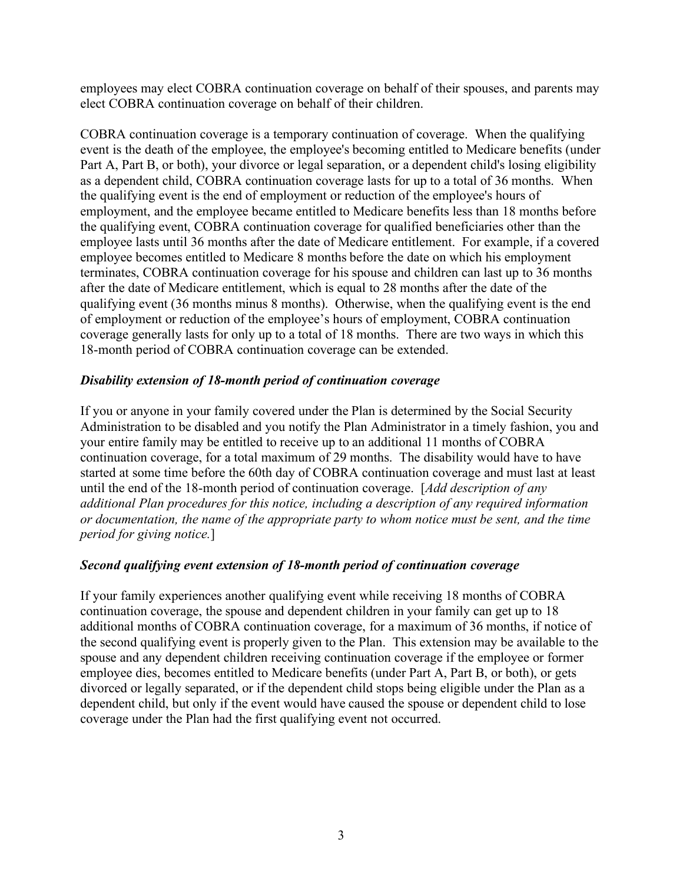employees may elect COBRA continuation coverage on behalf of their spouses, and parents may elect COBRA continuation coverage on behalf of their children.

COBRA continuation coverage is a temporary continuation of coverage. When the qualifying event is the death of the employee, the employee's becoming entitled to Medicare benefits (under Part A, Part B, or both), your divorce or legal separation, or a dependent child's losing eligibility as a dependent child, COBRA continuation coverage lasts for up to a total of 36 months. When the qualifying event is the end of employment or reduction of the employee's hours of employment, and the employee became entitled to Medicare benefits less than 18 months before the qualifying event, COBRA continuation coverage for qualified beneficiaries other than the employee lasts until 36 months after the date of Medicare entitlement. For example, if a covered employee becomes entitled to Medicare 8 months before the date on which his employment terminates, COBRA continuation coverage for his spouse and children can last up to 36 months after the date of Medicare entitlement, which is equal to 28 months after the date of the qualifying event (36 months minus 8 months). Otherwise, when the qualifying event is the end of employment or reduction of the employee's hours of employment, COBRA continuation coverage generally lasts for only up to a total of 18 months. There are two ways in which this 18-month period of COBRA continuation coverage can be extended.

#### *Disability extension of 18-month period of continuation coverage*

If you or anyone in your family covered under the Plan is determined by the Social Security Administration to be disabled and you notify the Plan Administrator in a timely fashion, you and your entire family may be entitled to receive up to an additional 11 months of COBRA continuation coverage, for a total maximum of 29 months. The disability would have to have started at some time before the 60th day of COBRA continuation coverage and must last at least until the end of the 18-month period of continuation coverage. [*Add description of any additional Plan procedures for this notice, including a description of any required information or documentation, the name of the appropriate party to whom notice must be sent, and the time period for giving notice.*]

### *Second qualifying event extension of 18-month period of continuation coverage*

If your family experiences another qualifying event while receiving 18 months of COBRA continuation coverage, the spouse and dependent children in your family can get up to 18 additional months of COBRA continuation coverage, for a maximum of 36 months, if notice of the second qualifying event is properly given to the Plan. This extension may be available to the spouse and any dependent children receiving continuation coverage if the employee or former employee dies, becomes entitled to Medicare benefits (under Part A, Part B, or both), or gets divorced or legally separated, or if the dependent child stops being eligible under the Plan as a dependent child, but only if the event would have caused the spouse or dependent child to lose coverage under the Plan had the first qualifying event not occurred.